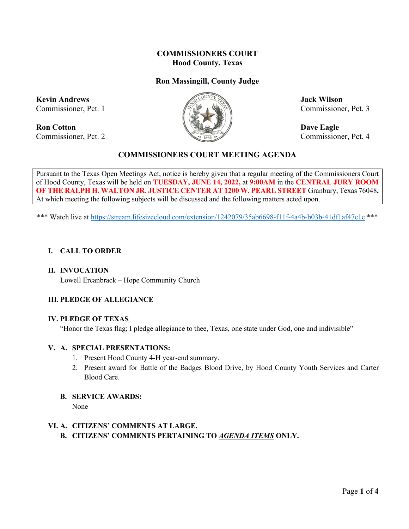# **COMMISSIONERS COURT Hood County, Texas**

# **Ron Massingill, County Judge**

**Kevin Andrews Jack Wilson** 

**Ron Cotton Dave Eagle** Commissioner, Pct. 2 Commissioner, Pct. 4



Commissioner, Pct. 1  $\mathbb{Z}^n$   $\mathbb{Z}^n$   $\mathbb{Z}^n$  Commissioner, Pct. 3

## **COMMISSIONERS COURT MEETING AGENDA**

Pursuant to the Texas Open Meetings Act, notice is hereby given that a regular meeting of the Commissioners Court of Hood County, Texas will be held on **TUESDAY, JUNE 14, 2022,** at **9:00AM** in the **CENTRAL JURY ROOM OF THE RALPH H. WALTON JR. JUSTICE CENTER AT 1200 W. PEARL STREET** Granbury, Texas 76048**.**  At which meeting the following subjects will be discussed and the following matters acted upon.

\*\*\* Watch live at<https://stream.lifesizecloud.com/extension/1242079/35ab6698-f11f-4a4b-b03b-41df1af47c1c> \*\*\*

#### **I. CALL TO ORDER**

#### **II. INVOCATION**

Lowell Ercanbrack – Hope Community Church

## **III. PLEDGE OF ALLEGIANCE**

#### **IV. PLEDGE OF TEXAS**

"Honor the Texas flag; I pledge allegiance to thee, Texas, one state under God, one and indivisible"

#### **V. A. SPECIAL PRESENTATIONS:**

- 1. Present Hood County 4-H year-end summary.
- 2. Present award for Battle of the Badges Blood Drive, by Hood County Youth Services and Carter Blood Care.
- **B. SERVICE AWARDS:**

None

# **VI. A. CITIZENS' COMMENTS AT LARGE. B. CITIZENS' COMMENTS PERTAINING TO** *AGENDA ITEMS* **ONLY.**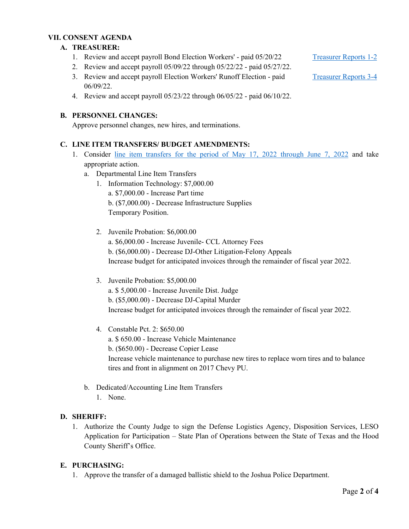#### **VII. CONSENT AGENDA**

#### **A. TREASURER:**

- 1. Review and accept payroll Bond Election Workers' paid 05/20/22 [Treasurer Reports 1-2](https://cohoodtxus-my.sharepoint.com/:b:/g/personal/skiser_co_hood_tx_us/Eauh3Kk3ZqpJj92vlh7Vfx4B9lmLdy8GJzdJ8dDEeTuOTw?e=vhsKVp)
- 2. Review and accept payroll 05/09/22 through 05/22/22 paid 05/27/22.
- 3. Review and accept payroll Election Workers' Runoff Election paid [Treasurer Reports 3-4](https://cohoodtxus-my.sharepoint.com/:b:/g/personal/skiser_co_hood_tx_us/EXB4FUvkUfBJmz11lBhbMMcB-JF2mpX4cPdHcgVuAjAvSg?e=0yDpjv) 06/09/22.
- 4. Review and accept payroll 05/23/22 through 06/05/22 paid 06/10/22.

#### **B. PERSONNEL CHANGES:**

Approve personnel changes, new hires, and terminations.

#### **C. LINE ITEM TRANSFERS/ BUDGET AMENDMENTS:**

- 1. Consider [line item transfers for the period of May 17, 2022 through June 7, 2022](https://cohoodtxus-my.sharepoint.com/:b:/g/personal/skiser_co_hood_tx_us/Ed1GBCH-N9xFr8-BF3F7_OEByE3k_Ttw7WmnkuPga1pn1Q?e=lyg5Cv) and take appropriate action.
	- a. Departmental Line Item Transfers
		- 1. Information Technology: \$7,000.00 a. \$7,000.00 - Increase Part time b. (\$7,000.00) - Decrease Infrastructure Supplies

Temporary Position.

- 2. Juvenile Probation: \$6,000.00
	- a. \$6,000.00 Increase Juvenile- CCL Attorney Fees b. (\$6,000.00) - Decrease DJ-Other Litigation-Felony Appeals Increase budget for anticipated invoices through the remainder of fiscal year 2022.
- 3. Juvenile Probation: \$5,000.00 a. \$ 5,000.00 - Increase Juvenile Dist. Judge b. (\$5,000.00) - Decrease DJ-Capital Murder Increase budget for anticipated invoices through the remainder of fiscal year 2022.
- 4. Constable Pct. 2: \$650.00 a. \$ 650.00 - Increase Vehicle Maintenance b. (\$650.00) - Decrease Copier Lease Increase vehicle maintenance to purchase new tires to replace worn tires and to balance tires and front in alignment on 2017 Chevy PU.
- b. Dedicated/Accounting Line Item Transfers
	- 1. None.

## **D. SHERIFF:**

1. Authorize the County Judge to sign the Defense Logistics Agency, Disposition Services, LESO Application for Participation – State Plan of Operations between the State of Texas and the Hood County Sheriff's Office.

## **E. PURCHASING:**

1. Approve the transfer of a damaged ballistic shield to the Joshua Police Department.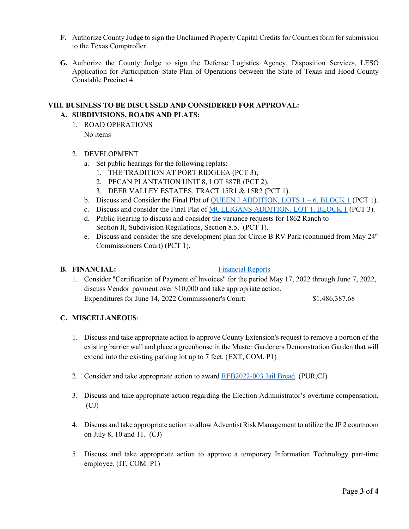- **F.** Authorize County Judge to sign the Unclaimed Property Capital Credits for Counties form for submission to the Texas Comptroller.
- **G.** Authorize the County Judge to sign the Defense Logistics Agency, Disposition Services, LESO Application for Participation–State Plan of Operations between the State of Texas and Hood County Constable Precinct 4.

#### **VIII. BUSINESS TO BE DISCUSSED AND CONSIDERED FOR APPROVAL: A. SUBDIVISIONS, ROADS AND PLATS:**

1. ROAD OPERATIONS No items

#### 2. DEVELOPMENT

- a. Set public hearings for the following replats:
	- 1. THE TRADITION AT PORT RIDGLEA (PCT 3);
	- 2. PECAN PLANTATION UNIT 8, LOT 887R (PCT 2);
	- 3. DEER VALLEY ESTATES, TRACT 15R1 & 15R2 (PCT 1).
- b. Discuss and Consider the Final Plat of OUEEN J ADDITION, LOTS  $1 6$ , BLOCK 1 (PCT 1).
- c. Discuss and consider the Final Plat of [MULLIGANS ADDITION, LOT 1, BLOCK 1](https://cohoodtxus-my.sharepoint.com/:b:/g/personal/skiser_co_hood_tx_us/EcUxtzPf8UpKhSjQg3Gh42UBVYhDI7gI35NAbkiD-QMCUw?e=CmuMtY) (PCT 3).
- d. Public Hearing to discuss and consider the variance requests for 1862 Ranch to Section II, Subdivision Regulations, Section 8.5. (PCT 1).
- e. Discuss and consider the site development plan for Circle B RV Park (continued from May  $24<sup>th</sup>$ Commissioners Court) (PCT 1).

#### **B. FINANCIAL:** [Financial Reports](https://cohoodtxus-my.sharepoint.com/:f:/g/personal/skiser_co_hood_tx_us/Em1nUa1rQblHtmxxyeZtW04BdIL0Ax4HyRY7bRGSodr5Pw?e=85ux6m)

1. Consider "Certification of Payment of Invoices" for the period May 17, 2022 through June 7, 2022, discuss Vendor payment over \$10,000 and take appropriate action. Expenditures for June 14, 2022 Commissioner's Court: \$1,486,387.68

## **C. MISCELLANEOUS**:

- 1. Discuss and take appropriate action to approve County Extension's request to remove a portion of the existing barrier wall and place a greenhouse in the Master Gardeners Demonstration Garden that will extend into the existing parking lot up to 7 feet. (EXT, COM. P1)
- 2. Consider and take appropriate action to award [RFB2022-003 Jail Bread.](https://cohoodtxus-my.sharepoint.com/:b:/g/personal/skiser_co_hood_tx_us/EXmYNT5VyupEnzV2A-Fe20wBJ1FNuRcS9boiHrHKFwXy1Q?e=1comgg) (PUR,CJ)
- 3. Discuss and take appropriate action regarding the Election Administrator's overtime compensation. (CJ)
- 4. Discuss and take appropriate action to allow Adventist Risk Management to utilize the JP 2 courtroom on July 8, 10 and 11. (CJ)
- 5. Discuss and take appropriate action to approve a temporary Information Technology part-time employee. (IT, COM. P1)